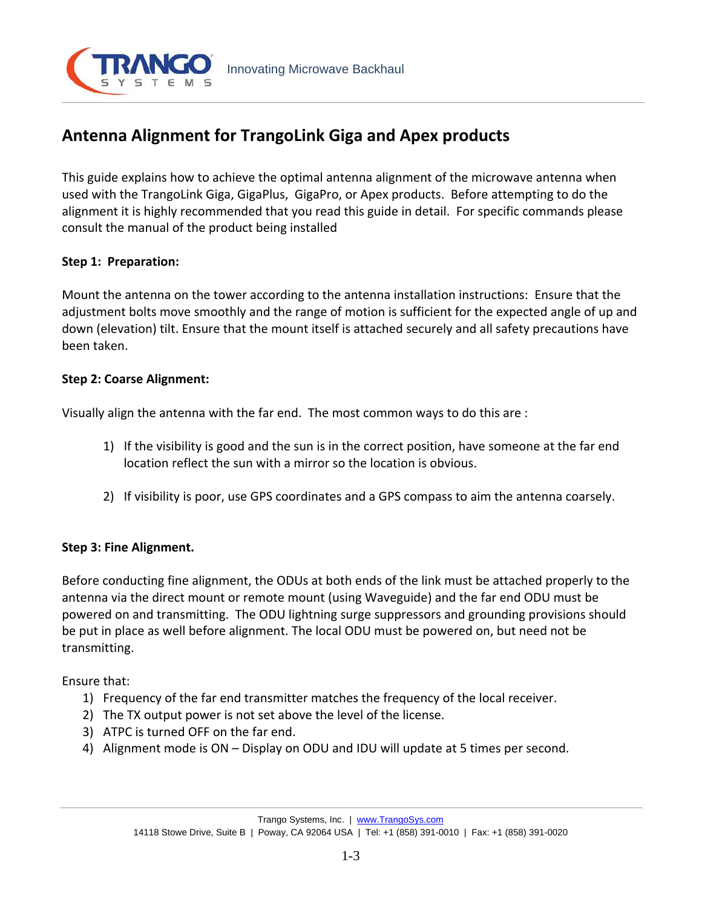

# **Antenna Alignment for TrangoLink Giga and Apex products**

This guide explains how to achieve the optimal antenna alignment of the microwave antenna when used with the TrangoLink Giga, GigaPlus, GigaPro, or Apex products. Before attempting to do the alignment it is highly recommended that you read this guide in detail. For specific commands please consult the manual of the product being installed

# **Step 1: Preparation:**

Mount the antenna on the tower according to the antenna installation instructions: Ensure that the adjustment bolts move smoothly and the range of motion is sufficient for the expected angle of up and down (elevation) tilt. Ensure that the mount itself is attached securely and all safety precautions have been taken.

## **Step 2: Coarse Alignment:**

Visually align the antenna with the far end. The most common ways to do this are :

- 1) If the visibility is good and the sun is in the correct position, have someone at the far end location reflect the sun with a mirror so the location is obvious.
- 2) If visibility is poor, use GPS coordinates and a GPS compass to aim the antenna coarsely.

# **Step 3: Fine Alignment.**

Before conducting fine alignment, the ODUs at both ends of the link must be attached properly to the antenna via the direct mount or remote mount (using Waveguide) and the far end ODU must be powered on and transmitting. The ODU lightning surge suppressors and grounding provisions should be put in place as well before alignment. The local ODU must be powered on, but need not be transmitting.

Ensure that:

- 1) Frequency of the far end transmitter matches the frequency of the local receiver.
- 2) The TX output power is not set above the level of the license.
- 3) ATPC is turned OFF on the far end.
- 4) Alignment mode is ON Display on ODU and IDU will update at 5 times per second.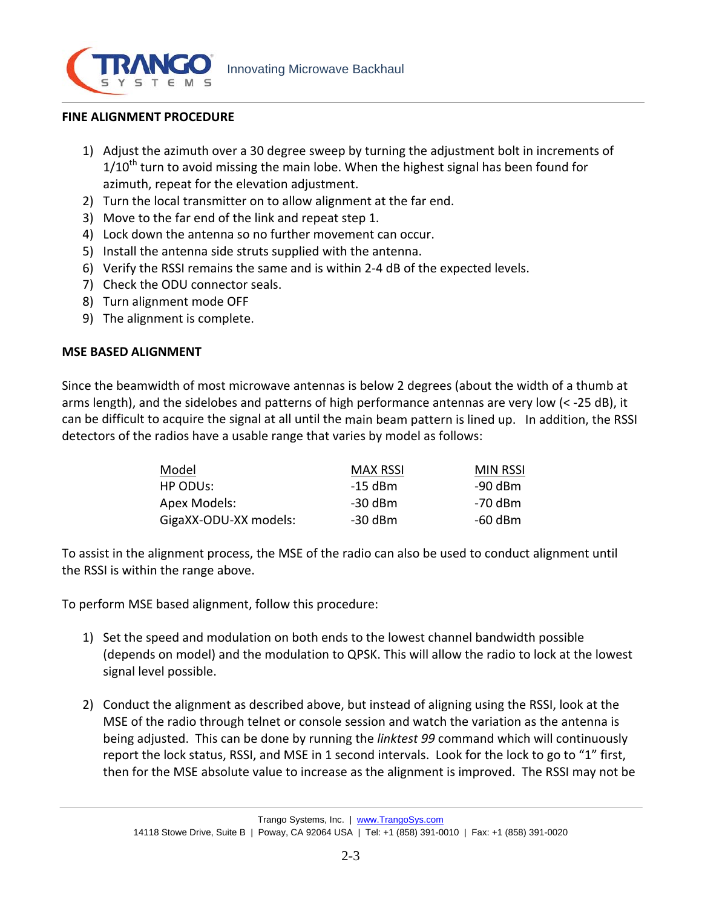

#### **FINE ALIGNMENT PROCEDURE**

- 1) Adjust the azimuth over a 30 degree sweep by turning the adjustment bolt in increments of  $1/10<sup>th</sup>$  turn to avoid missing the main lobe. When the highest signal has been found for azimuth, repeat for the elevation adjustment.
- 2) Turn the local transmitter on to allow alignment at the far end.
- 3) Move to the far end of the link and repeat step 1.
- 4) Lock down the antenna so no further movement can occur.
- 5) Install the antenna side struts supplied with the antenna.
- 6) Verify the RSSI remains the same and is within 2‐4 dB of the expected levels.
- 7) Check the ODU connector seals.
- 8) Turn alignment mode OFF
- 9) The alignment is complete.

## **MSE BASED ALIGNMENT**

Since the beamwidth of most microwave antennas is below 2 degrees (about the width of a thumb at arms length), and the sidelobes and patterns of high performance antennas are very low (< ‐25 dB), it can be difficult to acquire the signal at all until the main beam pattern is lined up. In addition, the RSSI detectors of the radios have a usable range that varies by model as follows:

| Model                 | <b>MAX RSSI</b> | <b>MIN RSSI</b> |
|-----------------------|-----------------|-----------------|
| HP ODUS:              | $-15$ dBm       | -90 dBm         |
| Apex Models:          | -30 dBm         | -70 dBm         |
| GigaXX-ODU-XX models: | -30 dBm         | -60 dBm         |

To assist in the alignment process, the MSE of the radio can also be used to conduct alignment until the RSSI is within the range above.

To perform MSE based alignment, follow this procedure:

- 1) Set the speed and modulation on both ends to the lowest channel bandwidth possible (depends on model) and the modulation to QPSK. This will allow the radio to lock at the lowest signal level possible.
- 2) Conduct the alignment as described above, but instead of aligning using the RSSI, look at the MSE of the radio through telnet or console session and watch the variation as the antenna is being adjusted. This can be done by running the *linktest 99* command which will continuously report the lock status, RSSI, and MSE in 1 second intervals. Look for the lock to go to "1" first, then for the MSE absolute value to increase as the alignment is improved. The RSSI may not be